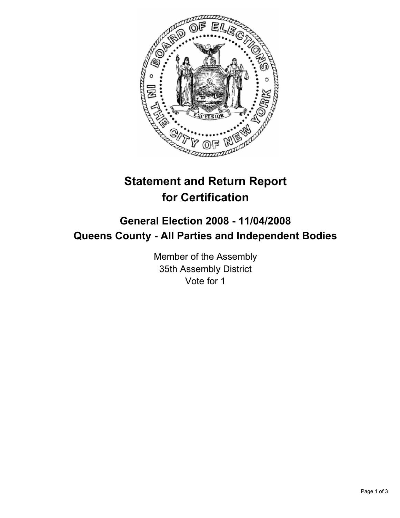

# **Statement and Return Report for Certification**

## **General Election 2008 - 11/04/2008 Queens County - All Parties and Independent Bodies**

Member of the Assembly 35th Assembly District Vote for 1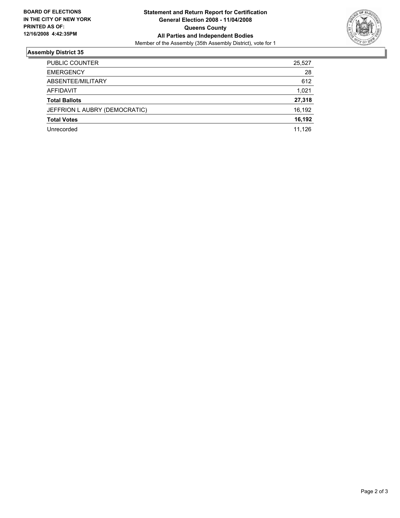

### **Assembly District 35**

| <b>PUBLIC COUNTER</b>         | 25,527 |
|-------------------------------|--------|
| <b>EMERGENCY</b>              | 28     |
| ABSENTEE/MILITARY             | 612    |
| AFFIDAVIT                     | 1,021  |
| <b>Total Ballots</b>          | 27,318 |
| JEFFRION L AUBRY (DEMOCRATIC) | 16,192 |
| <b>Total Votes</b>            | 16,192 |
| Unrecorded                    | 11,126 |